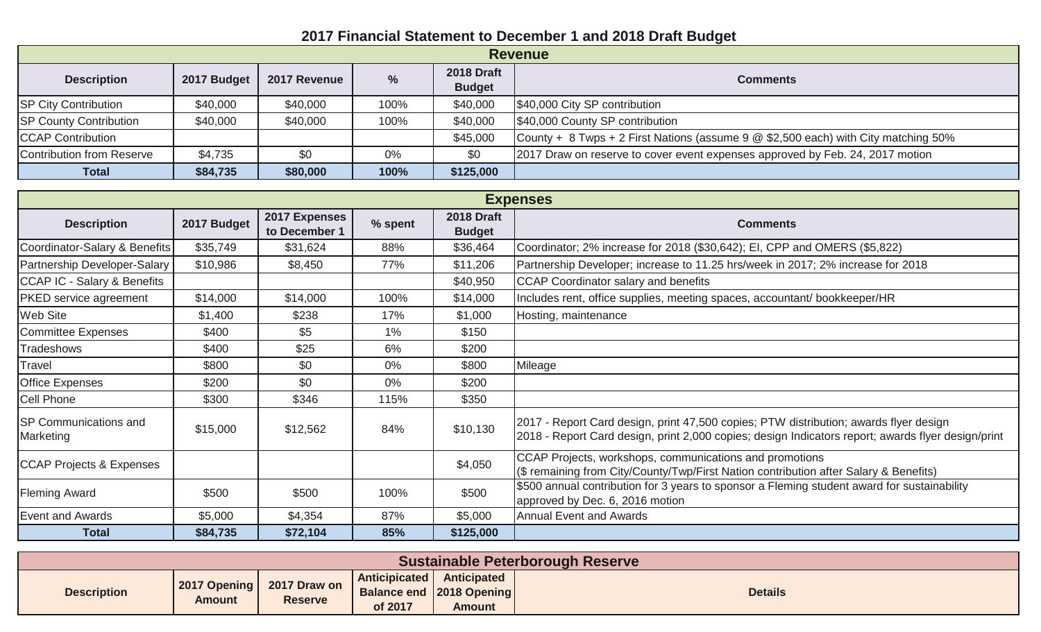## **2017 Financial Statement to December 1 and 2018 Draft Budget**

| <b>Revenue</b>                |             |              |               |                                    |                                                                                    |  |
|-------------------------------|-------------|--------------|---------------|------------------------------------|------------------------------------------------------------------------------------|--|
| <b>Description</b>            | 2017 Budget | 2017 Revenue | $\frac{9}{6}$ | <b>2018 Draft</b><br><b>Budget</b> | <b>Comments</b>                                                                    |  |
| <b>SP City Contribution</b>   | \$40,000    | \$40,000     | 100%          | \$40,000                           | \$40,000 City SP contribution                                                      |  |
| <b>SP County Contribution</b> | \$40,000    | \$40,000     | 100%          | \$40,000                           | \$40,000 County SP contribution                                                    |  |
| <b>CCAP Contribution</b>      |             |              |               | \$45,000                           | County + 8 Twps + 2 First Nations (assume 9 @ \$2,500 each) with City matching 50% |  |
| Contribution from Reserve     | \$4,735     | \$0          | $0\%$         | \$0                                | 2017 Draw on reserve to cover event expenses approved by Feb. 24, 2017 motion      |  |
| <b>Total</b>                  | \$84,735    | \$80,000     | 100%          | \$125,000                          |                                                                                    |  |

| <b>Expenses</b>                            |             |                                |         |                                    |                                                                                                                                                                                             |  |  |
|--------------------------------------------|-------------|--------------------------------|---------|------------------------------------|---------------------------------------------------------------------------------------------------------------------------------------------------------------------------------------------|--|--|
| <b>Description</b>                         | 2017 Budget | 2017 Expenses<br>to December 1 | % spent | <b>2018 Draft</b><br><b>Budget</b> | <b>Comments</b>                                                                                                                                                                             |  |  |
| Coordinator-Salary & Benefits              | \$35,749    | \$31,624                       | 88%     | \$36,464                           | Coordinator; 2% increase for 2018 (\$30,642); EI, CPP and OMERS (\$5,822)                                                                                                                   |  |  |
| Partnership Developer-Salary               | \$10,986    | \$8,450                        | 77%     | \$11,206                           | Partnership Developer; increase to 11.25 hrs/week in 2017; 2% increase for 2018                                                                                                             |  |  |
| <b>CCAP IC - Salary &amp; Benefits</b>     |             |                                |         | \$40,950                           | <b>CCAP Coordinator salary and benefits</b>                                                                                                                                                 |  |  |
| <b>PKED</b> service agreement              | \$14,000    | \$14,000                       | 100%    | \$14,000                           | Includes rent, office supplies, meeting spaces, accountant/ bookkeeper/HR                                                                                                                   |  |  |
| <b>Web Site</b>                            | \$1,400     | \$238                          | 17%     | \$1,000                            | Hosting, maintenance                                                                                                                                                                        |  |  |
| Committee Expenses                         | \$400       | \$5                            | $1\%$   | \$150                              |                                                                                                                                                                                             |  |  |
| Tradeshows                                 | \$400       | \$25                           | 6%      | \$200                              |                                                                                                                                                                                             |  |  |
| Travel                                     | \$800       | \$0                            | $0\%$   | \$800                              | Mileage                                                                                                                                                                                     |  |  |
| <b>Office Expenses</b>                     | \$200       | \$0                            | 0%      | \$200                              |                                                                                                                                                                                             |  |  |
| Cell Phone                                 | \$300       | \$346                          | 115%    | \$350                              |                                                                                                                                                                                             |  |  |
| <b>ISP Communications and</b><br>Marketing | \$15,000    | \$12,562                       | 84%     | \$10,130                           | 2017 - Report Card design, print 47,500 copies; PTW distribution; awards flyer design<br>2018 - Report Card design, print 2,000 copies; design Indicators report; awards flyer design/print |  |  |
| <b>CCAP Projects &amp; Expenses</b>        |             |                                |         | \$4,050                            | CCAP Projects, workshops, communications and promotions<br>(\$ remaining from City/County/Twp/First Nation contribution after Salary & Benefits)                                            |  |  |
| <b>Fleming Award</b>                       | \$500       | \$500                          | 100%    | \$500                              | \$500 annual contribution for 3 years to sponsor a Fleming student award for sustainability<br>approved by Dec. 6, 2016 motion                                                              |  |  |
| Event and Awards                           | \$5,000     | \$4,354                        | 87%     | \$5,000                            | <b>Annual Event and Awards</b>                                                                                                                                                              |  |  |
| <b>Total</b>                               | \$84,735    | \$72,104                       | 85%     | \$125,000                          |                                                                                                                                                                                             |  |  |

| <b>Sustainable Peterborough Reserve</b> |                               |                                |                          |                                                     |                |  |  |  |
|-----------------------------------------|-------------------------------|--------------------------------|--------------------------|-----------------------------------------------------|----------------|--|--|--|
| <b>Description</b>                      | 2017 Opening<br><b>Amount</b> | 2017 Draw on<br><b>Reserve</b> | Anticipicated<br>of 2017 | Anticipated<br>Balance end   2018 Opening<br>Amount | <b>Details</b> |  |  |  |